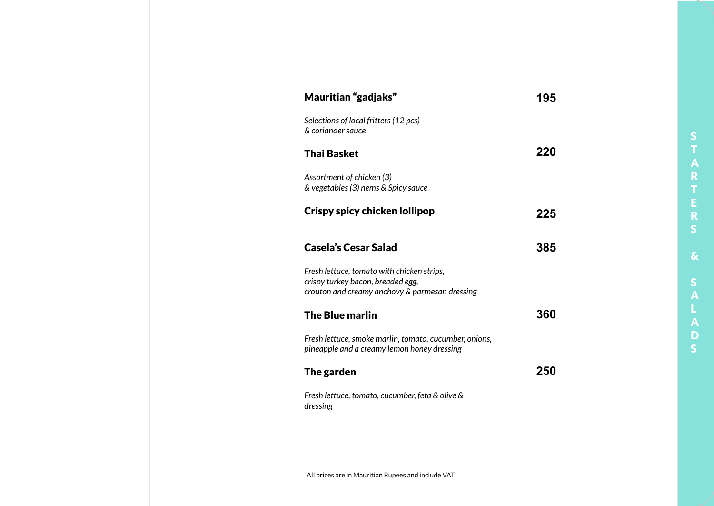| Mauritian "gadjaks"                                                                                                               | 195 |
|-----------------------------------------------------------------------------------------------------------------------------------|-----|
| Selections of local fritters (12 pcs)<br>& coriander sauce                                                                        |     |
| <b>Thai Basket</b>                                                                                                                | 220 |
| Assortment of chicken (3)<br>& vegetables (3) nems & Spicy sauce                                                                  |     |
| Crispy spicy chicken lollipop                                                                                                     | 225 |
| <b>Casela's Cesar Salad</b>                                                                                                       | 385 |
| Fresh lettuce, tomato with chicken strips,<br>crispy turkey bacon, breaded egg,<br>crouton and creamy anchovy & parmesan dressing |     |
| <b>The Blue marlin</b>                                                                                                            | 360 |
| Fresh lettuce, smoke marlin, tomato, cucumber, onions,<br>pineapple and a creamy lemon honey dressing                             |     |
| The garden                                                                                                                        | 250 |
| Fresh lettuce, tomato, cucumber, feta & olive &<br>dressing                                                                       |     |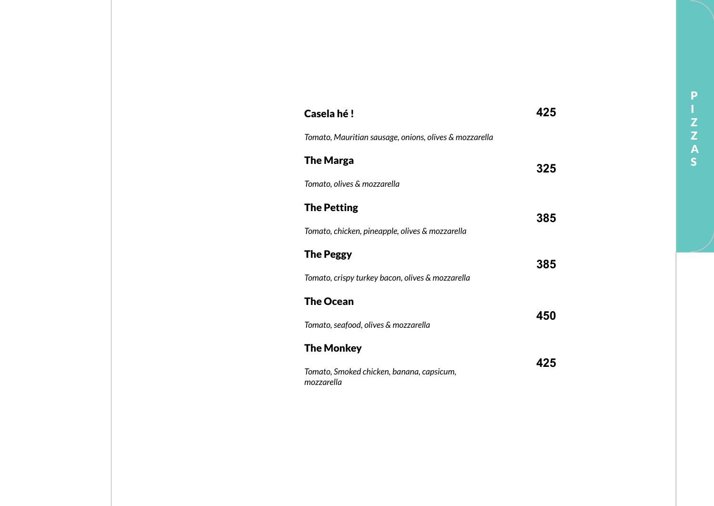| Casela hé!                                              | 425 |
|---------------------------------------------------------|-----|
| Tomato, Mauritian sausage, onions, olives & mozzarella  |     |
| <b>The Marga</b>                                        | 325 |
| Tomato, olives & mozzarella                             |     |
| <b>The Petting</b>                                      |     |
| Tomato, chicken, pineapple, olives & mozzarella         | 385 |
| <b>The Peggy</b>                                        | 385 |
| Tomato, crispy turkey bacon, olives & mozzarella        |     |
| <b>The Ocean</b>                                        |     |
| Tomato, seafood, olives & mozzarella                    | 450 |
| <b>The Monkey</b>                                       |     |
| Tomato, Smoked chicken, banana, capsicum,<br>mozzarella | 425 |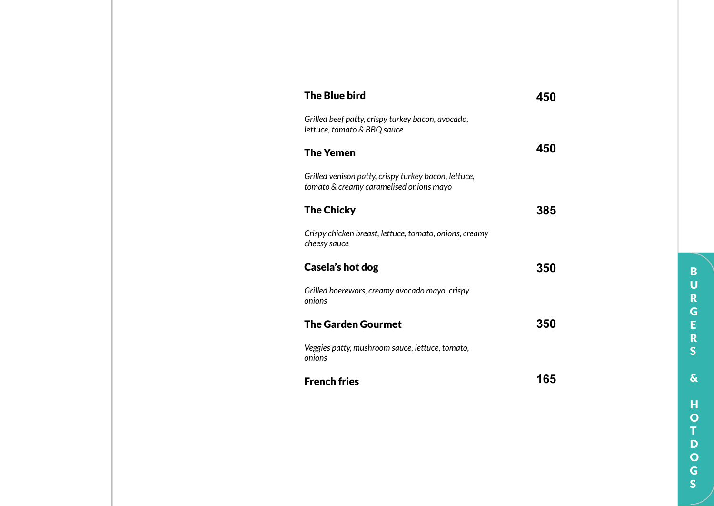| <b>The Blue bird</b>                                                                            | 45  |
|-------------------------------------------------------------------------------------------------|-----|
| Grilled beef patty, crispy turkey bacon, avocado,<br>lettuce, tomato & BBQ sauce                |     |
| <b>The Yemen</b>                                                                                | 450 |
| Grilled venison patty, crispy turkey bacon, lettuce,<br>tomato & creamy caramelised onions mayo |     |
| <b>The Chicky</b>                                                                               | 385 |
| Crispy chicken breast, lettuce, tomato, onions, creamy<br>cheesy sauce                          |     |
| Casela's hot dog                                                                                | 350 |
| Grilled boerewors, creamy avocado mayo, crispy<br>onions                                        |     |
| <b>The Garden Gourmet</b>                                                                       | 350 |
| Veggies patty, mushroom sauce, lettuce, tomato,<br>onions                                       |     |
| <b>French fries</b>                                                                             | 165 |

**BURGERS** BURGERS&HOTDOGS $\pmb{\delta}$  $\mathbf H$  $\frac{0}{T}$ D<br>O<br>G<br>S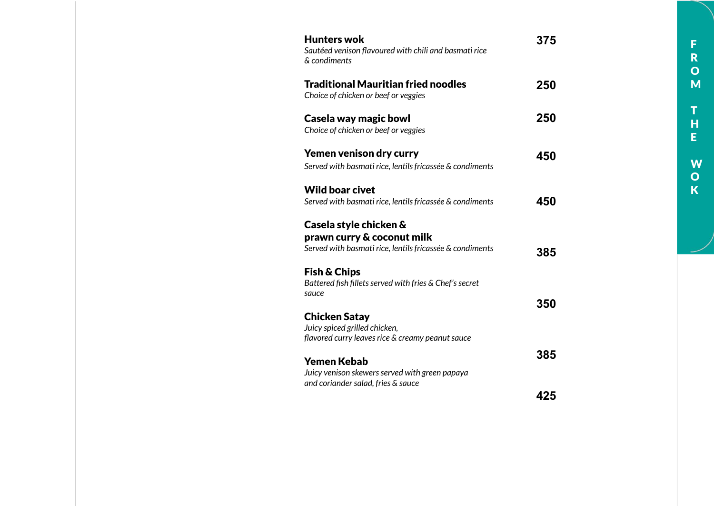| <b>Hunters wok</b><br>Sautéed venison flavoured with chili and basmati rice<br>& condiments                                                 | 375 |
|---------------------------------------------------------------------------------------------------------------------------------------------|-----|
| <b>Traditional Mauritian fried noodles</b><br>Choice of chicken or beef or veggies                                                          | 250 |
| Casela way magic bowl<br>Choice of chicken or beef or veggies                                                                               | 250 |
| Yemen venison dry curry<br>Served with basmati rice, lentils fricassée & condiments                                                         | 450 |
| <b>Wild boar civet</b><br>Served with basmati rice, lentils fricassée & condiments                                                          | 450 |
| Casela style chicken &<br>prawn curry & coconut milk<br>Served with basmati rice, lentils fricassée & condiments<br><b>Fish &amp; Chips</b> | 385 |
| Battered fish fillets served with fries & Chef's secret<br>sauce<br><b>Chicken Satay</b>                                                    | 350 |
| Juicy spiced grilled chicken,<br>flavored curry leaves rice & creamy peanut sauce                                                           | 385 |
| Yemen Kebab<br>Juicy venison skewers served with green papaya<br>and coriander salad, fries & sauce                                         | 425 |
|                                                                                                                                             |     |

FROM THE WOK

T<br>H<br>E

W<br>O<br>K

F<br>R<br>O<br>M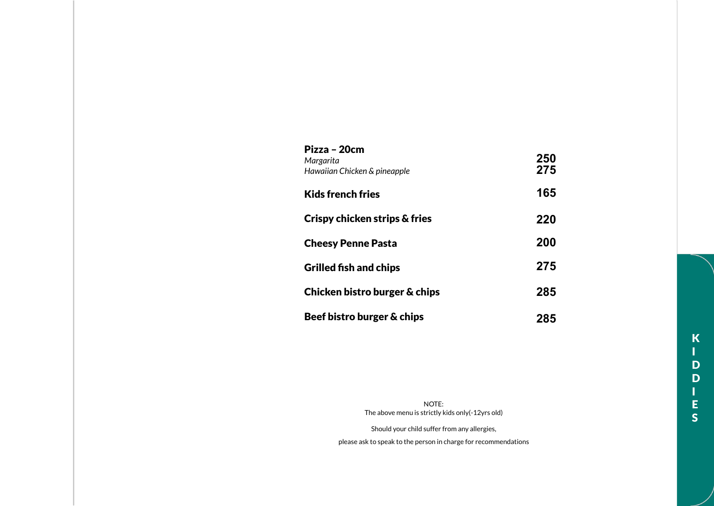| Pizza – 20cm<br>Margarita<br>Hawaiian Chicken & pineapple | 250<br>275 |
|-----------------------------------------------------------|------------|
| Kids french fries                                         | 165        |
| Crispy chicken strips & fries                             | 220        |
| <b>Cheesy Penne Pasta</b>                                 | 200        |
| <b>Grilled fish and chips</b>                             | 275        |
| Chicken bistro burger & chips                             | 285        |
| Beef bistro burger & chips                                | 285        |

NOTE: The above menu is strictly kids only(-12yrs old) Should your child suffer from any allergies,

please ask to speak to the person in charge for recommendations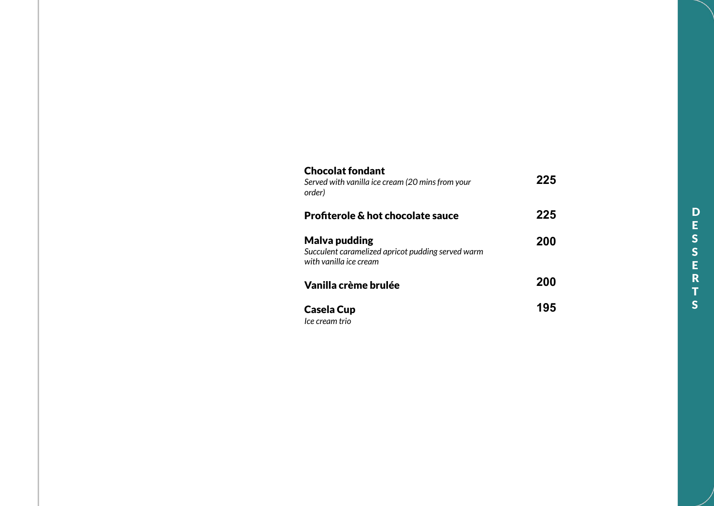| <b>Chocolat fondant</b><br>Served with vanilla ice cream (20 mins from your<br>order)        | 225 |
|----------------------------------------------------------------------------------------------|-----|
| <b>Profiterole &amp; hot chocolate sauce</b>                                                 | 225 |
| Malva pudding<br>Succulent caramelized apricot pudding served warm<br>with vanilla ice cream | 200 |
| Vanilla crème brulée                                                                         | 200 |
| <b>Casela Cup</b><br>Ice cream trio                                                          | 195 |